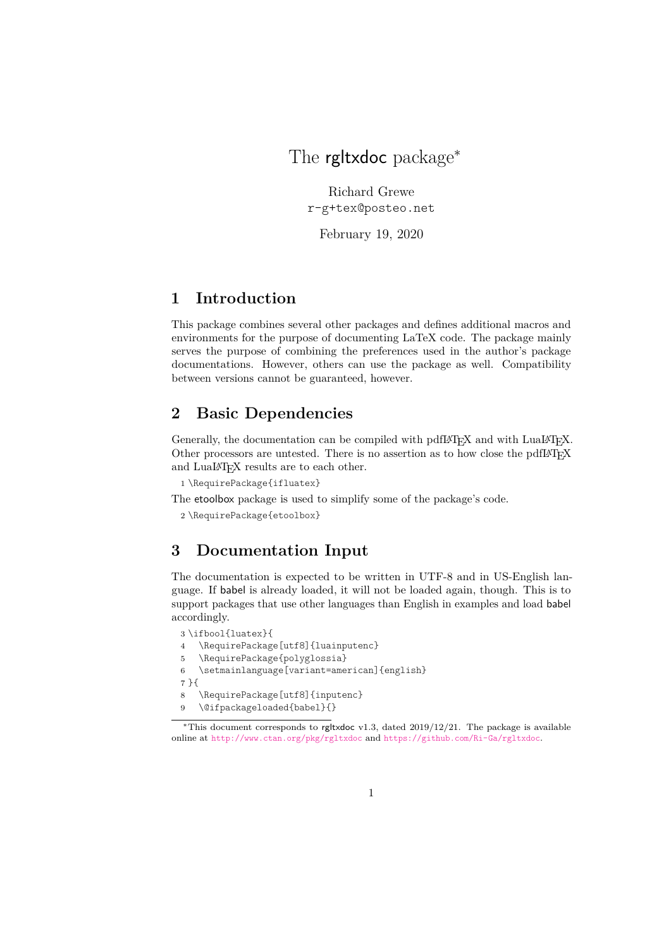### <span id="page-0-0"></span>The rgltxdoc package<sup>\*</sup>

Richard Grewe r-g+tex@posteo.net

February 19, 2020

### **1 Introduction**

This package combines several other packages and defines additional macros and environments for the purpose of documenting LaTeX code. The package mainly serves the purpose of combining the preferences used in the author's package documentations. However, others can use the package as well. Compatibility between versions cannot be guaranteed, however.

#### **2 Basic Dependencies**

Generally, the documentation can be compiled with pdfI4T<sub>E</sub>X and with LuaI4T<sub>E</sub>X. Other processors are untested. There is no assertion as to how close the pdfL $AT$  $FX$ and LuaLAT<sub>F</sub>X results are to each other.

```
1 \RequirePackage{ifluatex}
```
The etoolbox package is used to simplify some of the package's code.

<span id="page-0-4"></span>2 \RequirePackage{etoolbox}

#### **3 Documentation Input**

The documentation is expected to be written in UTF-8 and in US-English language. If babel is already loaded, it will not be loaded again, though. This is to support packages that use other languages than English in examples and load babel accordingly.

```
3 \ifbool{luatex}{
```

```
4 \RequirePackage[utf8]{luainputenc}
```
- <span id="page-0-6"></span>5 \RequirePackage{polyglossia}
- <span id="page-0-8"></span>6 \setmainlanguage[variant=american]{english}
- 7 }{
- <span id="page-0-7"></span>8 \RequirePackage[utf8]{inputenc}
- <span id="page-0-1"></span>9 \@ifpackageloaded{babel}{}

<sup>∗</sup>This document corresponds to rgltxdoc v1.3, dated 2019/12/21. The package is available online at <http://www.ctan.org/pkg/rgltxdoc> and <https://github.com/Ri-Ga/rgltxdoc>.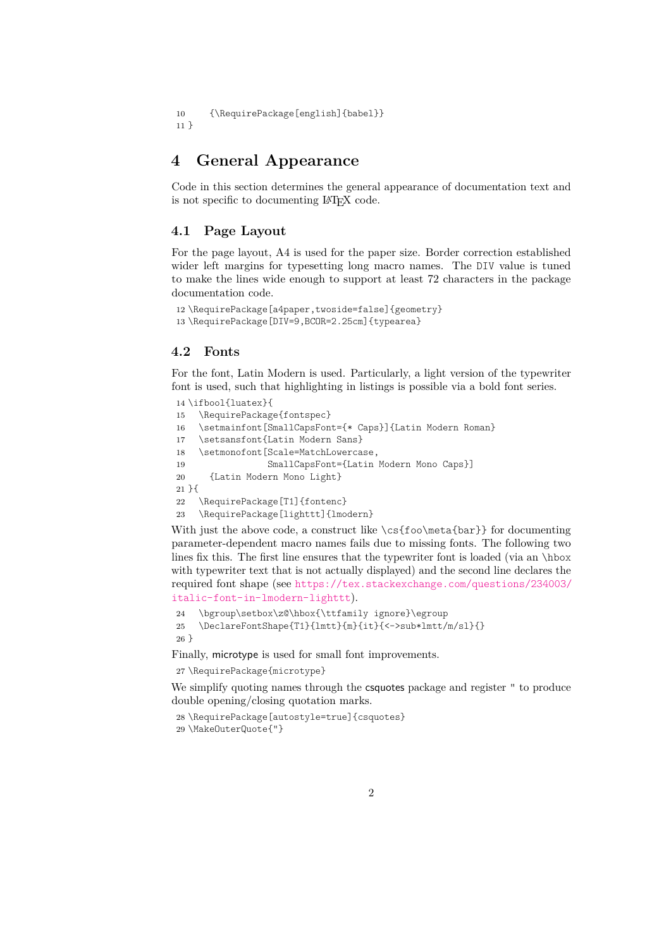```
10 {\RequirePackage[english]{babel}}
11 }
```
#### **4 General Appearance**

Code in this section determines the general appearance of documentation text and is not specific to documenting LATEX code.

#### **4.1 Page Layout**

For the page layout, A4 is used for the paper size. Border correction established wider left margins for typesetting long macro names. The DIV value is tuned to make the lines wide enough to support at least 72 characters in the package documentation code.

```
12 \RequirePackage[a4paper,twoside=false]{geometry}
13 \RequirePackage[DIV=9,BCOR=2.25cm]{typearea}
```
#### **4.2 Fonts**

For the font, Latin Modern is used. Particularly, a light version of the typewriter font is used, such that highlighting in listings is possible via a bold font series.

```
14 \ifbool{luatex}{
15 \RequirePackage{fontspec}
16 \setmainfont[SmallCapsFont={* Caps}]{Latin Modern Roman}
17 \setsansfont{Latin Modern Sans}
18 \setmonofont[Scale=MatchLowercase,
19 SmallCapsFont={Latin Modern Mono Caps}]
20 {Latin Modern Mono Light}
21 }{
22 \RequirePackage[T1]{fontenc}
23 \RequirePackage[lighttt]{lmodern}
```
<span id="page-1-9"></span><span id="page-1-8"></span>With just the above code, a construct like  $\csch\text{fo}$  meta{bar}} for documenting parameter-dependent macro names fails due to missing fonts. The following two lines fix this. The first line ensures that the typewriter font is loaded (via an \hbox with typewriter text that is not actually displayed) and the second line declares the required font shape (see [https://tex.stackexchange.com/questions/234003/](https://tex.stackexchange.com/questions/234003/italic-font-in-lmodern-lighttt) [italic-font-in-lmodern-lighttt](https://tex.stackexchange.com/questions/234003/italic-font-in-lmodern-lighttt)).

```
24 \bgroup\setbox\z@\hbox{\ttfamily ignore}\egroup
25 \DeclareFontShape{T1}{lmtt}{m}{it}{<->sub*lmtt/m/sl}{}
26 }
```
Finally, microtype is used for small font improvements.

<span id="page-1-10"></span>27 \RequirePackage{microtype}

We simplify quoting names through the csquotes package and register " to produce double opening/closing quotation marks.

```
28 \RequirePackage[autostyle=true]{csquotes}
29 \MakeOuterQuote{"}
```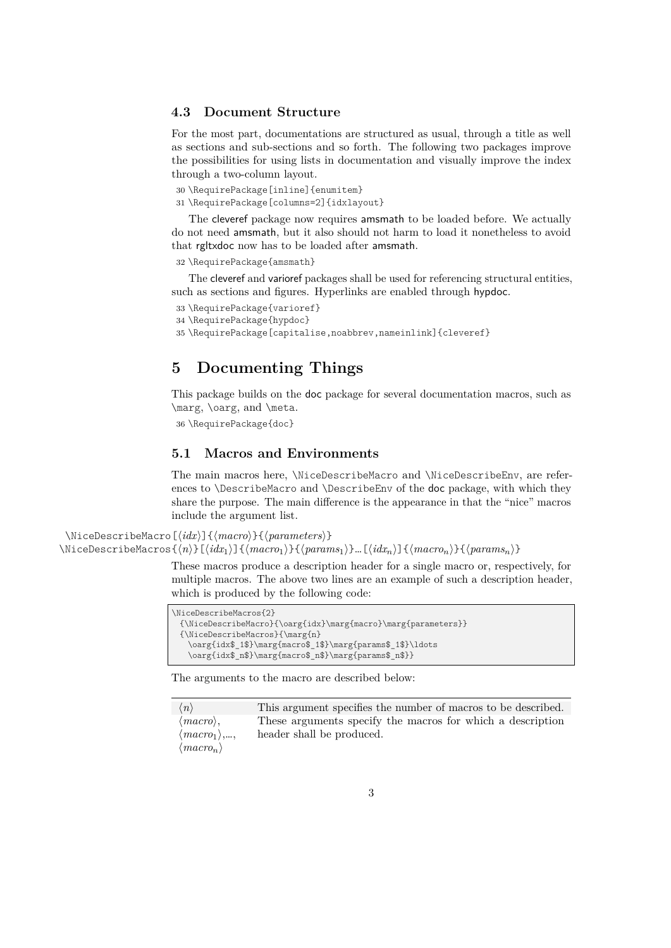#### <span id="page-2-1"></span>**4.3 Document Structure**

For the most part, documentations are structured as usual, through a title as well as sections and sub-sections and so forth. The following two packages improve the possibilities for using lists in documentation and visually improve the index through a two-column layout.

<span id="page-2-4"></span>30 \RequirePackage[inline]{enumitem}

```
31 \RequirePackage[columns=2]{idxlayout}
```
The cleveref package now requires amsmath to be loaded before. We actually do not need amsmath, but it also should not harm to load it nonetheless to avoid that rgltxdoc now has to be loaded after amsmath.

<span id="page-2-6"></span>32 \RequirePackage{amsmath}

The cleveref and varioref packages shall be used for referencing structural entities, such as sections and figures. Hyperlinks are enabled through hypdoc.

<span id="page-2-7"></span>33 \RequirePackage{varioref}

```
34 \RequirePackage{hypdoc}
```
<span id="page-2-9"></span>35 \RequirePackage[capitalise,noabbrev,nameinlink]{cleveref}

#### **5 Documenting Things**

This package builds on the doc package for several documentation macros, such as \marg, \oarg, and \meta.

```
36 \RequirePackage{doc}
```
#### <span id="page-2-0"></span>**5.1 Macros and Environments**

The main macros here, \NiceDescribeMacro and \NiceDescribeEnv, are references to \DescribeMacro and \DescribeEnv of the doc package, with which they share the purpose. The main difference is the appearance in that the "nice" macros include the argument list.

\NiceDescribeMacro[ $\langle i dx \rangle$ ]{ $\langle maxr0 \rangle$ }{ $\langle parameters \rangle$ }

 $\NicebescribeMacros{n}{[idx_1]}({macro_1}{\gamma})$ { $\langle params_1\rangle$ }.  $[\langle idx_n\rangle]$ { $\langle macro_n\rangle$ }{ $\langle params_n\rangle$ }

<span id="page-2-3"></span><span id="page-2-2"></span>These macros produce a description header for a single macro or, respectively, for multiple macros. The above two lines are an example of such a description header, which is produced by the following code:

| \NiceDescribeMacros{2}                                          |  |
|-----------------------------------------------------------------|--|
| ${\NiceDescribeMacro}({\oarg\idx}\text{macro}\text{parameters}$ |  |
| ${\rm i\thinspace\}$                                            |  |
| \oarg{idx\$ 1\$}\marg{macro\$_1\$}\marg{params\$_1\$}\ldots     |  |
| \oarg{idx\$ n\$}\marg{macro\$ n\$}\marg{params\$ n\$}}          |  |

The arguments to the macro are described below:

| $\langle n \rangle$          | This argument specifies the number of macros to be described. |
|------------------------------|---------------------------------------------------------------|
| $\langle macro\rangle,$      | These arguments specify the macros for which a description    |
| $\langle macro_1 \rangle, ,$ | header shall be produced.                                     |
| $\langle macro_n\rangle$     |                                                               |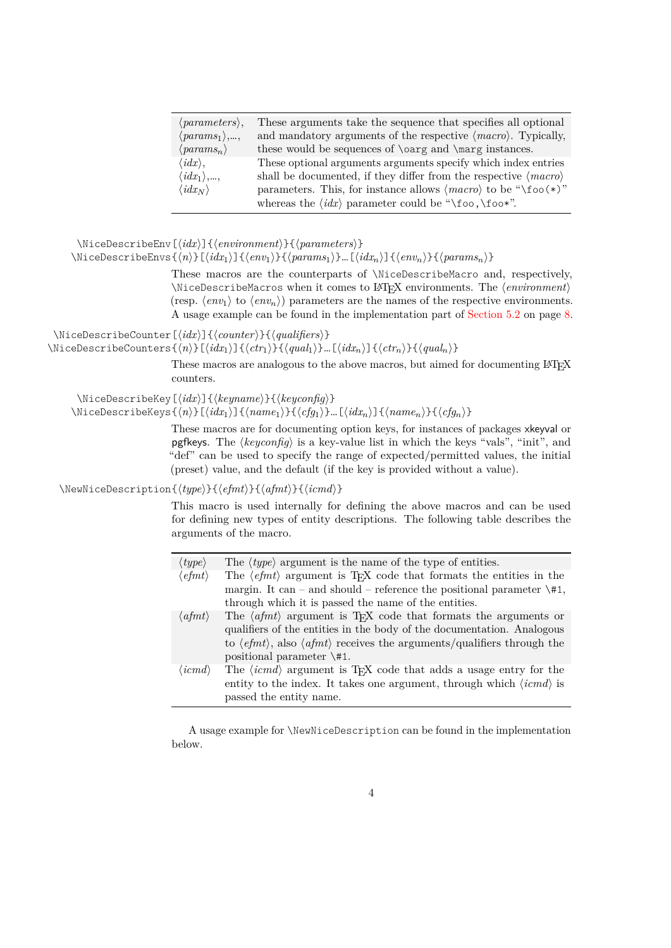| $\langle parameters \rangle,$       | These arguments take the sequence that specifies all optional                  |
|-------------------------------------|--------------------------------------------------------------------------------|
| $\langle params_1 \rangle, ,$       | and mandatory arguments of the respective $\langle macro\rangle$ . Typically,  |
| $\langle \mathit{params}_n \rangle$ | these would be sequences of \carg and \marg instances.                         |
| $\langle i dx \rangle,$             | These optional arguments arguments specify which index entries                 |
| $\langle i dx_1 \rangle, ,$         | shall be documented, if they differ from the respective $\langle macro\rangle$ |
| $\langle i dx_N \rangle$            | parameters. This, for instance allows $\langle macro \rangle$ to be "\foo(*)"  |
|                                     | whereas the $\langle i dx \rangle$ parameter could be "\foo,\foo*".            |

```
\NiceDescribeEnv[\langle idx \rangle]{\langle environment \rangle}{\langle parameters \rangle}
```

```
\NicebescribeEnvs{\neprint{\neprint{\neprint{h}}[\frac{idx_1}{\env_2in}}{\env_2in}{\neprint{\neprint{\neprint{\nepsil}}$\sqrt{\nepsil}$\sqrt{\nepsil}$\sqrt{\nepsil}$\sqrt{\nepsil}$\sqrt{\nepsil}$\sqrt{\nepsil}$\sqrt{\nepsil}$\sq
```
<span id="page-3-4"></span><span id="page-3-3"></span>These macros are the counterparts of \NiceDescribeMacro and, respectively, \NiceDescribeMacros when it comes to LAT<sub>E</sub>X environments. The  $\langle environment \rangle$ (resp.  $\langle env_1 \rangle$  to  $\langle env_n \rangle$ ) parameters are the names of the respective environments. A usage example can be found in the implementation part of [Section 5.2](#page-7-0) on page [8.](#page-7-0)

 $\langle$ NiceDescribeCounter[ $\langle i dx \rangle$ ] $\{ \langle counter \rangle\}$ }

 $\Nicel$ escribeCounters $\{\langle n \rangle\}$ [ $\langle d x_1 \rangle$ ] $\{\langle c t r_1 \rangle\}$  $\{\langle q u a l_1 \rangle\}$ …[ $\langle d x_n \rangle$ ] $\{\langle c t r_n \rangle\}$  $\{\langle q u a l_n \rangle\}$ 

<span id="page-3-5"></span><span id="page-3-2"></span><span id="page-3-1"></span>These macros are analogous to the above macros, but aimed for documenting LAT<sub>EX</sub> counters.

\NiceDescribeKey[ $\langle i dx \rangle$ ]{ $\langle key name \rangle$ }{ $\langle key config \rangle$ }

 $\Nicel$ escribeKeys $\{\langle n \rangle\}$ [ $\langle i dx_1 \rangle$ ] $\{\langle name_1 \rangle\}$  $\{ \langle cfg_1 \rangle\}$ …[ $\langle i dx_n \rangle$ ] $\{\langle name_n \rangle\}$ 

<span id="page-3-6"></span>These macros are for documenting option keys, for instances of packages xkeyval or pgfkeys. The  $\langle keyconfig \rangle$  is a key-value list in which the keys "vals", "init", and "def" can be used to specify the range of expected/permitted values, the initial (preset) value, and the default (if the key is provided without a value).

\NewNiceDescription{ $\langle type \rangle$ }{ $\langle afmt \rangle$ }{ $\langle afmt \rangle$ }

<span id="page-3-0"></span>This macro is used internally for defining the above macros and can be used for defining new types of entity descriptions. The following table describes the arguments of the macro.

| $\langle type \rangle$   | The $\langle type \rangle$ argument is the name of the type of entities.                                                |
|--------------------------|-------------------------------------------------------------------------------------------------------------------------|
| $\langle$ efmt $\rangle$ | The $\langle$ <i>efmt</i> $\rangle$ argument is T <sub>F</sub> X code that formats the entities in the                  |
|                          | margin. It can – and should – reference the positional parameter $\forall$ #1,                                          |
|                          | through which it is passed the name of the entities.                                                                    |
| $\langle afmt\rangle$    | The $\langle afmt \rangle$ argument is T <sub>F</sub> X code that formats the arguments or                              |
|                          | qualifiers of the entities in the body of the documentation. Analogous                                                  |
|                          | to $\langle$ <i>efmt</i> $\rangle$ , also $\langle$ <i>afmt</i> $\rangle$ receives the arguments/qualifiers through the |
|                          | positional parameter $\setminus$ #1.                                                                                    |
| $\langle icmd \rangle$   | The $\langle i \rangle$ argument is T <sub>F</sub> X code that adds a usage entry for the                               |
|                          | entity to the index. It takes one argument, through which $\langle i \rangle$ is                                        |
|                          | passed the entity name.                                                                                                 |

A usage example for \NewNiceDescription can be found in the implementation below.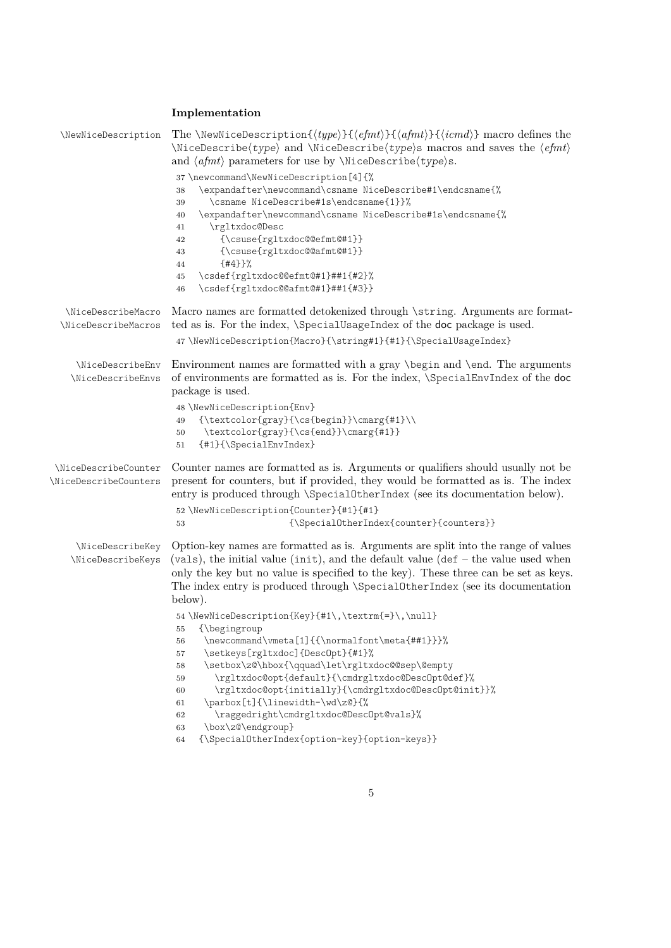#### <span id="page-4-31"></span><span id="page-4-21"></span><span id="page-4-20"></span><span id="page-4-16"></span><span id="page-4-15"></span><span id="page-4-14"></span><span id="page-4-13"></span><span id="page-4-12"></span><span id="page-4-11"></span><span id="page-4-10"></span><span id="page-4-6"></span><span id="page-4-3"></span><span id="page-4-0"></span>**Implementation**

<span id="page-4-35"></span><span id="page-4-34"></span><span id="page-4-33"></span><span id="page-4-32"></span><span id="page-4-30"></span><span id="page-4-29"></span><span id="page-4-28"></span><span id="page-4-27"></span><span id="page-4-26"></span><span id="page-4-25"></span><span id="page-4-24"></span><span id="page-4-23"></span><span id="page-4-22"></span><span id="page-4-19"></span><span id="page-4-18"></span><span id="page-4-17"></span><span id="page-4-9"></span><span id="page-4-8"></span><span id="page-4-7"></span><span id="page-4-5"></span><span id="page-4-4"></span><span id="page-4-2"></span><span id="page-4-1"></span>

| \NewNiceDescription                           | The \NewNiceDescription{ $\langle type \rangle$ }{ $\langle e f m t \rangle$ }{ $\langle a f m t \rangle$ }{ $\langle i c m d \rangle$ } macro defines the<br>$\langle type \rangle$ and $\langle type \rangle$ and $\langle type \rangle$ s macros and saves the $\langle e f m t \rangle$<br>and $\langle afmt \rangle$ parameters for use by \NiceDescribe $\langle type \rangle$ s.                                                                                                                                                                                                                                                                                                                                                                                                                                                                                                                             |
|-----------------------------------------------|---------------------------------------------------------------------------------------------------------------------------------------------------------------------------------------------------------------------------------------------------------------------------------------------------------------------------------------------------------------------------------------------------------------------------------------------------------------------------------------------------------------------------------------------------------------------------------------------------------------------------------------------------------------------------------------------------------------------------------------------------------------------------------------------------------------------------------------------------------------------------------------------------------------------|
|                                               | 37 \newcommand\NewNiceDescription[4]{%<br>\expandafter\newcommand\csname NiceDescribe#1\endcsname{%<br>38<br>\csname NiceDescribe#1s\endcsname{1}}%<br>39<br>\expandafter\newcommand\csname NiceDescribe#1s\endcsname{%<br>40<br>\rgltxdoc@Desc<br>41<br>${\sc$ use[rgltxdoc@efmt@#1}<br>42<br>${\sc$ suse(rgltxdoc@@afmt@#1}}<br>43<br>${#4}$ } $%$<br>44<br>\csdef{rgltxdoc@@efmt@#1}##1{#2}%<br>45<br>\csdef{rgltxdoc@@afmt@#1}##1{#3}}<br>46                                                                                                                                                                                                                                                                                                                                                                                                                                                                    |
| \NiceDescribeMacro<br>\NiceDescribeMacros     | Macro names are formatted detokenized through \string. Arguments are format-<br>ted as is. For the index, <i>\SpecialUsageIndex of the doc package is used.</i><br>47\NewNiceDescription{Macro}{\string#1}{#1}{\SpecialUsageIndex}                                                                                                                                                                                                                                                                                                                                                                                                                                                                                                                                                                                                                                                                                  |
| \NiceDescribeEnv<br>\NiceDescribeEnvs         | Environment names are formatted with a gray \begin and \end. The arguments<br>of environments are formatted as is. For the index, <i>\SpecialEnvIndex of the doc</i><br>package is used.<br>48 \NewNiceDescription{Env}<br>{\textcolor{gray}{\cs{begin}}\cmarg{#1}\\<br>49<br>\textcolor{gray}{\cs{end}}\cmarg{#1}}<br>50<br>{#1}{\SpecialEnvIndex}<br>51                                                                                                                                                                                                                                                                                                                                                                                                                                                                                                                                                           |
| \NiceDescribeCounter<br>\NiceDescribeCounters | Counter names are formatted as is. Arguments or qualifiers should usually not be<br>present for counters, but if provided, they would be formatted as is. The index<br>entry is produced through <i>\SpecialOtherIndex</i> (see its documentation below).<br>52 \NewNiceDescription{Counter}{#1}{#1}<br>$\label{thm:1} $$ \SpecialOtherIndex\counter\{counters\}}$$$<br>53                                                                                                                                                                                                                                                                                                                                                                                                                                                                                                                                          |
| \NiceDescribeKey<br>\NiceDescribeKeys         | Option-key names are formatted as is. Arguments are split into the range of values<br>(vals), the initial value (init), and the default value ( $\det$ – the value used when<br>only the key but no value is specified to the key). These three can be set as keys.<br>The index entry is produced through <i>\SpecialOtherIndex</i> (see its documentation<br>below).<br>54 \NewNiceDescription{Key}{#1\,\textrm{=}\,\null}<br>{\begingroup<br>55<br>\newcommand\vmeta[1]{{\normalfont\meta{##1}}}%<br>56<br>\setkeys[rgltxdoc]{DescOpt}{#1}%<br>57<br>\setbox\z@\hbox{\qquad\let\rgltxdoc@@sep\@empty<br>58<br>\rgltxdoc@opt{default}{\cmdrgltxdoc@DescOpt@def}%<br>59<br>\rgltxdoc@opt{initially}{\cmdrgltxdoc@DescOpt@init}}%<br>60<br>\parbox[t]{\linewidth-\wd\z@}{%<br>61<br>\raggedright\cmdrgltxdoc@DescOpt@vals}%<br>62<br>\box\z@\endgroup}<br>63<br>{\SpecialOtherIndex{option-key}{option-keys}}<br>64 |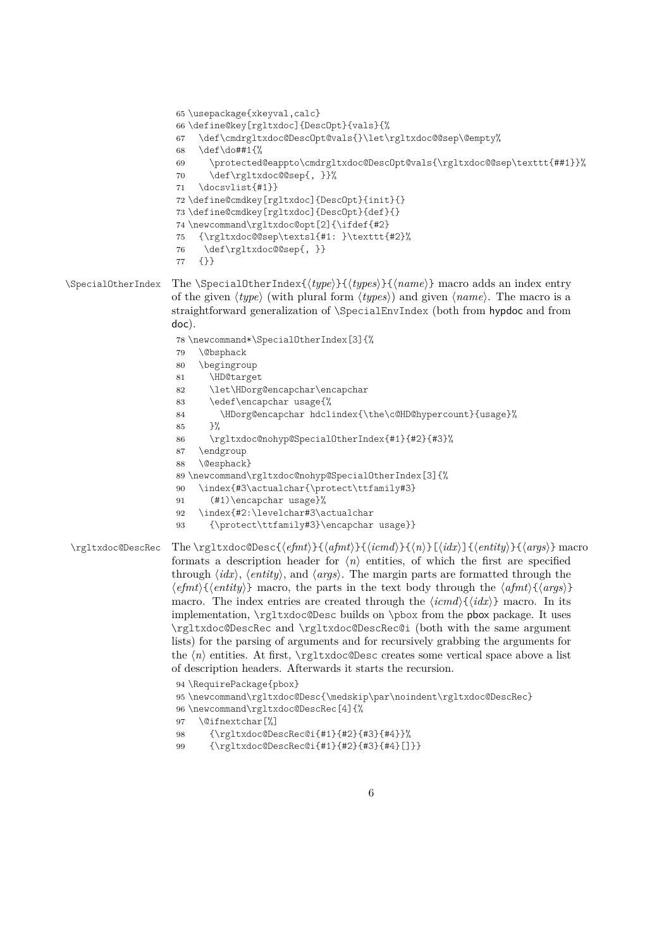```
65 \usepackage{xkeyval,calc}
                      66 \define@key[rgltxdoc]{DescOpt}{vals}{%
                      67 \def\cmdrgltxdoc@DescOpt@vals{}\let\rgltxdoc@@sep\@empty%
                      68 \def\do##1{%
                      69 \protected@eappto\cmdrgltxdoc@DescOpt@vals{\rgltxdoc@@sep\texttt{##1}}%
                      70 \def\rgltxdoc@@sep{, }}%
                      71 \docsvlist{#1}}
                      72 \define@cmdkey[rgltxdoc]{DescOpt}{init}{}
                      73 \define@cmdkey[rgltxdoc]{DescOpt}{def}{}
                      74 \newcommand\rgltxdoc@opt[2]{\ifdef{#2}
                      75 {\rgltxdoc@@sep\textsl{#1: }\texttt{#2}%
                      76 \def\rgltxdoc@@sep{, }}
                      77 {}}
\SpecialOtherIndex The \SpecialOtherIndex{\type}}{\types}{hame}} macro adds an index entry
                     of the given \langle type \rangle (with plural form \langle types \rangle) and given \langle name \rangle. The macro is a
                     straightforward generalization of \SpecialEnvIndex (both from hypdoc and from
                     doc).
                      78 \newcommand*\SpecialOtherIndex[3]{%
                      79 \@bsphack
                      80 \begingroup
                      81 \HD@target
                      82 \let\HDorg@encapchar\encapchar
                      83 \edef\encapchar usage{%
                      84 \HDorg@encapchar hdclindex{\the\c@HD@hypercount}{usage}%
                      85 }%
                      86 \rgltxdoc@nohyp@SpecialOtherIndex{#1}{#2}{#3}%
                      87 \endgroup
                      88 \@esphack}
                      89 \newcommand\rgltxdoc@nohyp@SpecialOtherIndex[3]{%
                      90 \index{#3\actualchar{\protect\ttfamily#3}
                      91 (#1)\encapchar usage}%
                      92 \index{#2:\levelchar#3\actualchar
                      93 {\protect\ttfamily#3}\encapchar usage}}
 \rgltxdoc@DescRec The \rgltxdoc@Desc{\efmt\}{\afmt\}{\icmd\}{\icmd\}{\n\}[\idx\}]{\entity\}{\args\} macro
                     formats a description header for \langle n \rangle entities, of which the first are specified
                     through \langle i dx \rangle, \langle entity \rangle, and \langle args \rangle. The margin parts are formatted through the
                     hefmti{hentityi} macro, the parts in the text body through the hafmti{hargsi}
                     macro. The index entries are created through the \langle i \, d \, d \rangle macro. In its
                     implementation, \rgltxdoc@Desc builds on \pbox from the pbox package. It uses
                     \rgltxdoc@DescRec and \rgltxdoc@DescRec@i (both with the same argument
                     lists) for the parsing of arguments and for recursively grabbing the arguments for
                     the \langle n \rangle entities. At first, \rgltxdoc@Desc creates some vertical space above a list
                     of description headers. Afterwards it starts the recursion.
                      94 \RequirePackage{pbox}
                      95 \newcommand\rgltxdoc@Desc{\medskip\par\noindent\rgltxdoc@DescRec}
                      96 \newcommand\rgltxdoc@DescRec[4]{%
```
- <span id="page-5-31"></span><span id="page-5-30"></span><span id="page-5-27"></span><span id="page-5-23"></span><span id="page-5-22"></span><span id="page-5-19"></span><span id="page-5-18"></span><span id="page-5-17"></span><span id="page-5-8"></span><span id="page-5-6"></span><span id="page-5-5"></span><span id="page-5-4"></span><span id="page-5-3"></span>\@ifnextchar[%]
- <span id="page-5-28"></span>{\rgltxdoc@DescRec@i{#1}{#2}{#3}{#4}}%
- <span id="page-5-29"></span>{\rgltxdoc@DescRec@i{#1}{#2}{#3}{#4}[]}}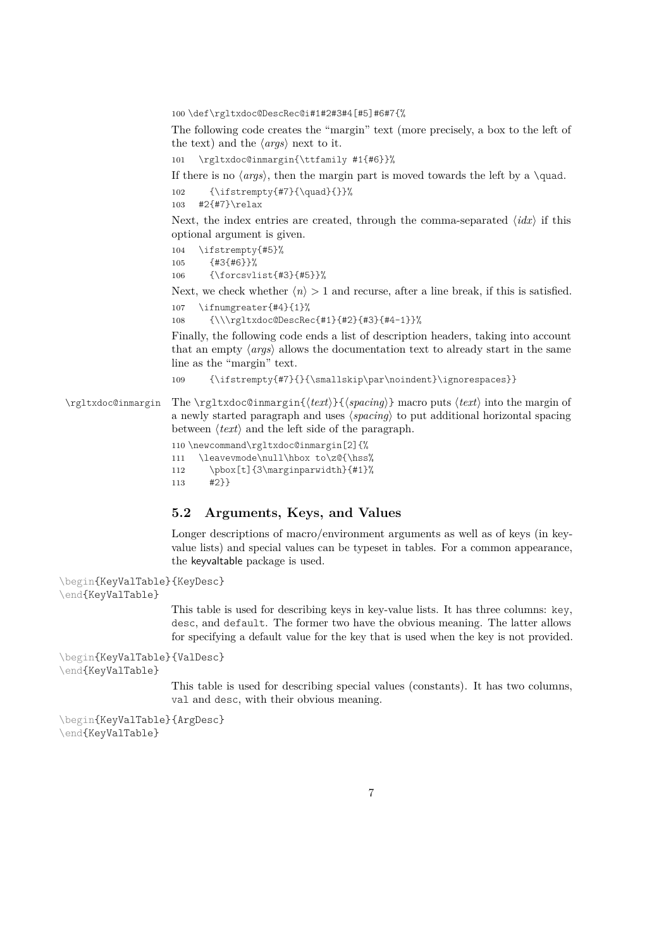<span id="page-6-12"></span>100 \def\rgltxdoc@DescRec@i#1#2#3#4[#5]#6#7{%

The following code creates the "margin" text (more precisely, a box to the left of the text) and the  $\langle \textit{args} \rangle$  next to it.

```
101 \rgltxdoc@inmargin{\ttfamily #1{#6}}%
```
If there is no  $\langle args \rangle$ , then the margin part is moved towards the left by a \quad. 102 {\ifstrempty{#7}{\quad}{}}%

<span id="page-6-11"></span><span id="page-6-7"></span>103 #2{#7}\relax

Next, the index entries are created, through the comma-separated  $\langle idx \rangle$  if this optional argument is given.

<span id="page-6-8"></span>104 \ifstrempty{#5}% 105 {#3{#6}}%

<span id="page-6-4"></span>106 {\forcsvlist{#3}{#5}}%

Next, we check whether  $\langle n \rangle > 1$  and recurse, after a line break, if this is satisfied.

```
107 \ifnumgreater{#4}{1}%
```
<span id="page-6-0"></span>108 {\\\rgltxdoc@DescRec{#1}{#2}{#3}{#4-1}}%

Finally, the following code ends a list of description headers, taking into account that an empty  $\langle \textit{args} \rangle$  allows the documentation text to already start in the same line as the "margin" text.

<span id="page-6-9"></span>109 {\ifstrempty{#7}{}{\smallskip\par\noindent}\ignorespaces}}

<span id="page-6-14"></span>\rgltxdoc@inmargin The \rgltxdoc@inmargin{h*text*i}{h*spacing*i} macro puts h*text*i into the margin of a newly started paragraph and uses  $\langle spacing \rangle$  to put additional horizontal spacing between  $\langle text \rangle$  and the left side of the paragraph.

110 \newcommand\rgltxdoc@inmargin[2]{%

```
111 \leavevmode\null\hbox to\z@{\hss%
112 \pbox[t]{3\marginparwidth}{#1}%
113 #2}}
```
#### **5.2 Arguments, Keys, and Values**

<span id="page-6-2"></span><span id="page-6-1"></span>Longer descriptions of macro/environment arguments as well as of keys (in keyvalue lists) and special values can be typeset in tables. For a common appearance, the keyvaltable package is used.

```
\begin{KeyValTable}
{KeyDesc}
\end{KeyValTable}
                      This table is used for describing keys in key-value lists. It has three columns: key,
                      desc, and default. The former two have the obvious meaning. The latter allows
                      for specifying a default value for the key that is used when the key is not provided.
\begin{KeyValTable}
{ValDesc}
\end{KeyValTable}
                      This table is used for describing special values (constants). It has two columns,
                      val and desc, with their obvious meaning.
\begin{KeyValTable}
{ArgDesc}
```
<span id="page-6-3"></span>\end{KeyValTable}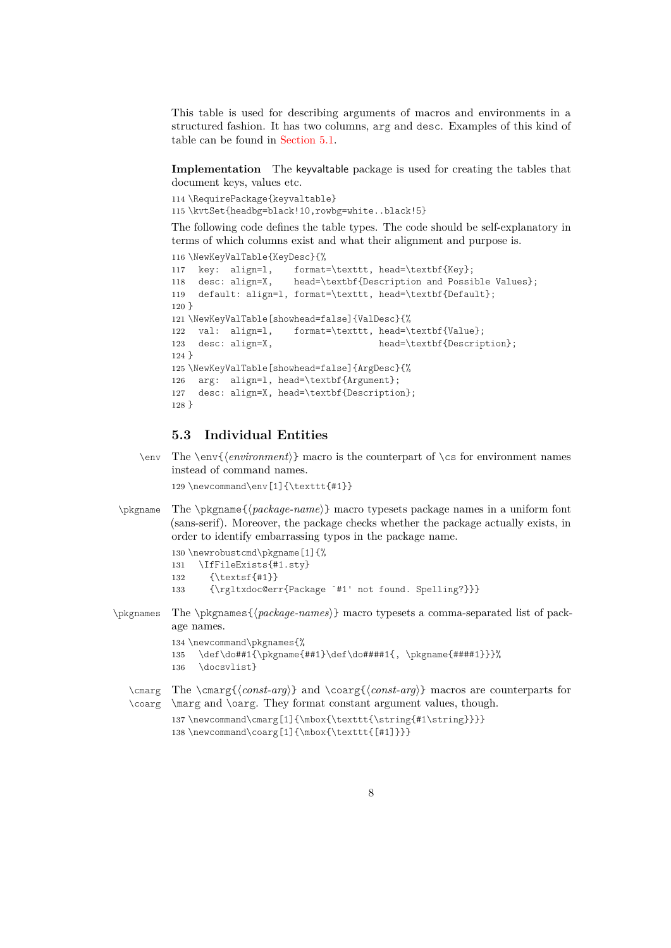<span id="page-7-1"></span>This table is used for describing arguments of macros and environments in a structured fashion. It has two columns, arg and desc. Examples of this kind of table can be found in [Section 5.1.](#page-2-0)

<span id="page-7-0"></span>**Implementation** The keyvaltable package is used for creating the tables that document keys, values etc.

```
114 \RequirePackage{keyvaltable}
115 \kvtSet{headbg=black!10,rowbg=white..black!5}
```
The following code defines the table types. The code should be self-explanatory in terms of which columns exist and what their alignment and purpose is.

```
116 \NewKeyValTable{KeyDesc}{%
117 key: align=l, format=\texttt, head=\textbf{Key};
118 desc: align=X, head=\textbf{Description and Possible Values};
119 default: align=l, format=\texttt, head=\textbf{Default};
120 }
121 \NewKeyValTable[showhead=false]{ValDesc}{%
122 val: align=l, format=\texttt, head=\textbf{Value};
123 desc: align=X, head=\textbf{Description};
124 }
125 \NewKeyValTable[showhead=false]{ArgDesc}{%
126 arg: align=l, head=\textbf{Argument};
127 desc: align=X, head=\textbf{Description};
128 }
```
#### <span id="page-7-25"></span><span id="page-7-24"></span><span id="page-7-13"></span>**5.3 Individual Entities**

<span id="page-7-6"></span> $\text{The } \text{\'{}(environment)} \text{ has a constant of } \text{ of } \text{ for environment names.}$ instead of command names.

```
129 \newcommand\env[1]{\texttt{#1}}
```
<span id="page-7-15"></span>\pkgname The \pkgname{ $\langle package-name\rangle$ } macro typesets package names in a uniform font (sans-serif). Moreover, the package checks whether the package actually exists, in order to identify embarrassing typos in the package name.

```
130 \newrobustcmd\pkgname[1]{%
131 \IfFileExists{#1.sty}
132 {\textsf{#1}}
133 {\rgltxdoc@err{Package `#1' not found. Spelling?}}}
```
<span id="page-7-16"></span>\pkgnames The \pkgnames{h*package-names*i} macro typesets a comma-separated list of package names.

```
134 \newcommand\pkgnames{%
135 \def\do##1{\pkgname{##1}\def\do####1{, \pkgname{####1}}}%
136 \docsvlist}
```

```
\cmarg The \cmarg{\{const-arg\} and \coarg{\{const-arg\} macros are counterparts for
\coarg
\marg and \oarg. They format constant argument values, though.
        137\newcommand\cmarg[1]{\mbox{\texttt{\string{#1\string}}}}
        138 \newcommand\coarg[1]{\mbox{\texttt{[#1]}}}
```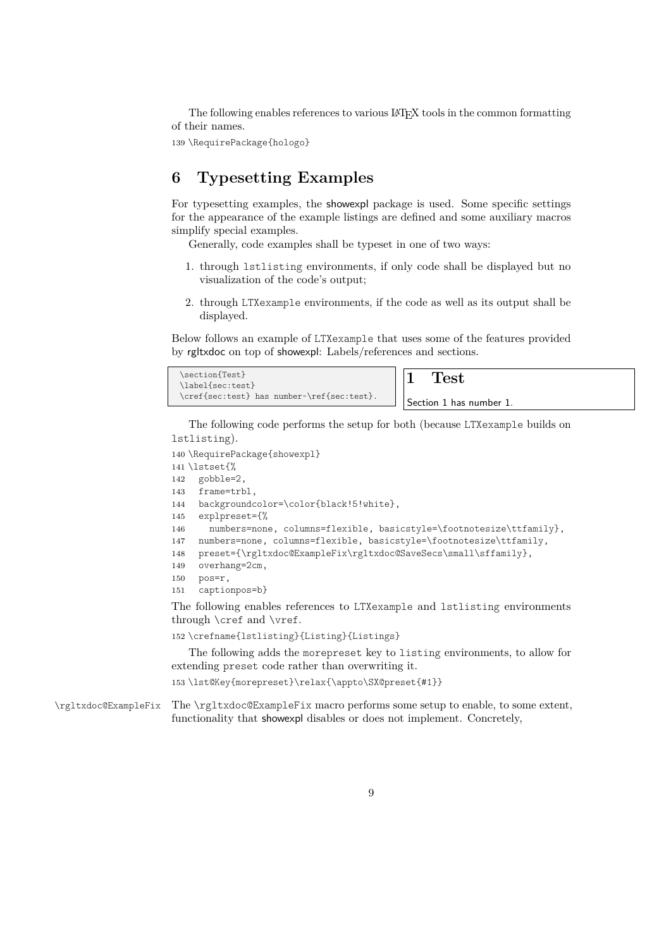The following enables references to various LAT<sub>EX</sub> tools in the common formatting of their names.

<span id="page-8-6"></span>139 \RequirePackage{hologo}

### **6 Typesetting Examples**

For typesetting examples, the showexpl package is used. Some specific settings for the appearance of the example listings are defined and some auxiliary macros simplify special examples.

Generally, code examples shall be typeset in one of two ways:

- 1. through lstlisting environments, if only code shall be displayed but no visualization of the code's output;
- 2. through LTXexample environments, if the code as well as its output shall be displayed.

Below follows an example of LTXexample that uses some of the features provided by rgltxdoc on top of showexpl: Labels/references and sections.

| \section{Test}<br>\label{sec:test}         | $\operatorname{Test}$                |
|--------------------------------------------|--------------------------------------|
| \cref{sec:test} has number~\ref{sec:test}. | <sup>1</sup> Section 1 has number 1. |

The following code performs the setup for both (because LTXexample builds on lstlisting).

```
140 \RequirePackage{showexpl}
141 \lstset{%
142 gobble=2,
143 frame=trbl,
144 backgroundcolor=\color{black!5!white},
145 explpreset={%
146 numbers=none, columns=flexible, basicstyle=\footnotesize\ttfamily},
147 numbers=none, columns=flexible, basicstyle=\footnotesize\ttfamily,
148 preset={\rgltxdoc@ExampleFix\rgltxdoc@SaveSecs\small\sffamily},
149 overhang=2cm,
150 pos=r,
151 captionpos=b}
The following enables references to LTXexample and lstlisting environments
through \cref and \vref.
```

```
152 \crefname{lstlisting}{Listing}{Listings}
```
The following adds the morepreset key to listing environments, to allow for extending preset code rather than overwriting it.

```
153 \lst@Key{morepreset}\relax{\appto\SX@preset{#1}}
```
<span id="page-8-9"></span>\rgltxdoc@ExampleFix The \rgltxdoc@ExampleFix macro performs some setup to enable, to some extent, functionality that showexpl disables or does not implement. Concretely,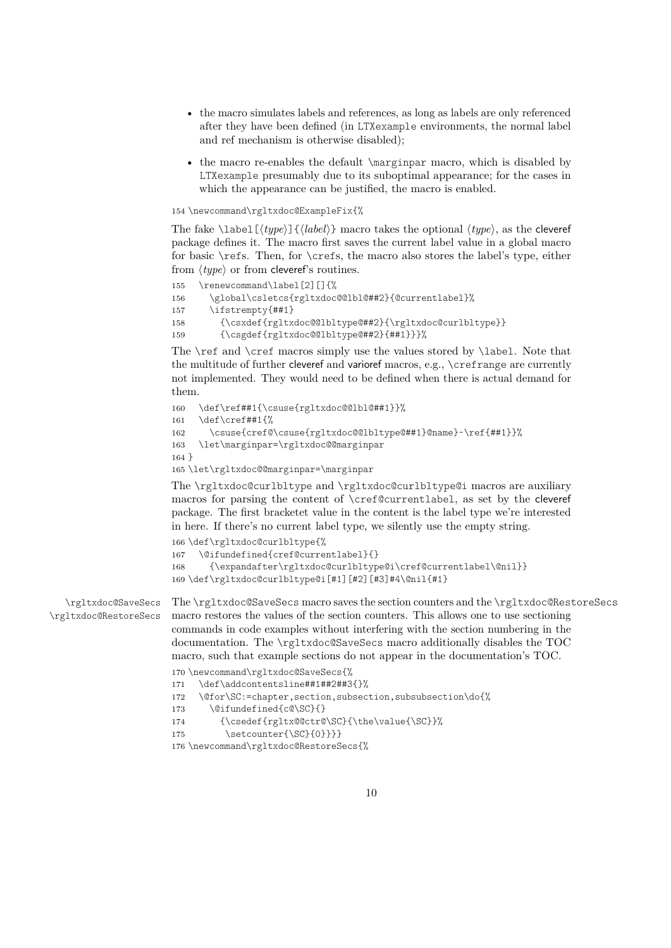- <span id="page-9-0"></span>• the macro simulates labels and references, as long as labels are only referenced after they have been defined (in LTXexample environments, the normal label and ref mechanism is otherwise disabled);
- the macro re-enables the default \marginpar macro, which is disabled by LTXexample presumably due to its suboptimal appearance; for the cases in which the appearance can be justified, the macro is enabled.

154 \newcommand\rgltxdoc@ExampleFix{%

The fake  $\lambda$ label $[\langle type \rangle]$  ${\langle label \rangle}$  macro takes the optional  $\langle type \rangle$ , as the cleveref package defines it. The macro first saves the current label value in a global macro for basic \refs. Then, for \crefs, the macro also stores the label's type, either from  $\langle type \rangle$  or from cleveref's routines.

```
155 \renewcommand\label[2][]{%
156 \global\csletcs{rgltxdoc@@lbl@##2}{@currentlabel}%
157 \ifstrempty{##1}
158 {\csxdef{rgltxdoc@@lbltype@##2}{\rgltxdoc@curlbltype}}
159 {\csgdef{rgltxdoc@@lbltype@##2}{##1}}}%
```
<span id="page-9-13"></span><span id="page-9-9"></span>The \ref and \cref macros simply use the values stored by \label. Note that the multitude of further cleveref and varioref macros, e.g., \crefrange are currently not implemented. They would need to be defined when there is actual demand for them.

```
160 \def\ref##1{\csuse{rgltxdoc@@lbl@##1}}%
161 \def\cref##1{%
162 \csuse{cref@\csuse{rgltxdoc@@lbltype@##1}@name}~\ref{##1}}%
163 \let\marginpar=\rgltxdoc@@marginpar
164 }
165 \let\rgltxdoc@@marginpar=\marginpar
```
<span id="page-9-17"></span>The \rgltxdoc@curlbltype and \rgltxdoc@curlbltype@i macros are auxiliary macros for parsing the content of \cref@currentlabel, as set by the cleveref package. The first bracketet value in the content is the label type we're interested in here. If there's no current label type, we silently use the empty string.

```
166 \def\rgltxdoc@curlbltype{%
167 \@ifundefined{cref@currentlabel}{}
168 {\expandafter\rgltxdoc@curlbltype@i\cref@currentlabel\@nil}}
169 \def\rgltxdoc@curlbltype@i[#1][#2][#3]#4\@nil{#1}
```
<span id="page-9-20"></span><span id="page-9-19"></span>\rgltxdoc@SaveSecs \rgltxdoc@RestoreSecs

<span id="page-9-5"></span>The \rgltxdoc@SaveSecs macro saves the section counters and the \rgltxdoc@RestoreSecs macro restores the values of the section counters. This allows one to use sectioning commands in code examples without interfering with the section numbering in the documentation. The \rgltxdoc@SaveSecs macro additionally disables the TOC macro, such that example sections do not appear in the documentation's TOC.

<span id="page-9-21"></span><span id="page-9-8"></span><span id="page-9-6"></span><span id="page-9-3"></span><span id="page-9-1"></span> \newcommand\rgltxdoc@SaveSecs{% \def\addcontentsline##1##2##3{}% \@for\SC:=chapter,section,subsection,subsubsection\do{% 173 \@ifundefined{c@\SC}{} {\csedef{rgltx@@ctr@\SC}{\the\value{\SC}}% 175 \setcounter{\SC}{0}}}} \newcommand\rgltxdoc@RestoreSecs{%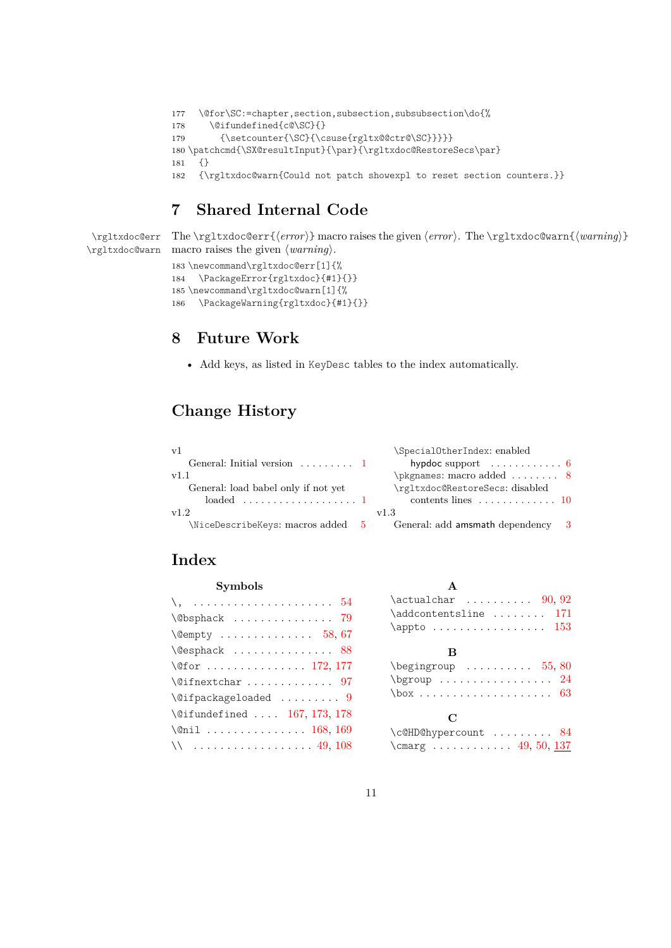```
177 \@for\SC:=chapter,section,subsection,subsubsection\do{%
```

```
178 \@difundefined{c@\SC}{}
```

```
179 {\setcounter{\SC}{\csuse{rgltx@@ctr@\SC}}}}}
```

```
180 \patchcmd{\SX@resultInput}{\par}{\rgltxdoc@RestoreSecs\par}
```

```
181 {}
```
<span id="page-10-7"></span>182 {\rgltxdoc@warn{Could not patch showexpl to reset section counters.}}

### **7 Shared Internal Code**

<span id="page-10-8"></span>\rgltxdoc@err

<span id="page-10-6"></span>\rgltxdoc@warn macro raises the given  $\langle warning \rangle$ . The \rgltxdoc@err{*\error*}} macro raises the given *\error*}. The \rgltxdoc@warn{*\warning*}}

```
183 \newcommand\rgltxdoc@err[1]{%
```

```
184 \PackageError{rgltxdoc}{#1}{}}
```

```
185 \newcommand\rgltxdoc@warn[1]{%
```
<span id="page-10-4"></span>186 \PackageWarning{rgltxdoc}{#1}{}}

### **8 Future Work**

• Add keys, as listed in KeyDesc tables to the index automatically.

### **Change History**

| V <sup>1</sup>                           | \SpecialOtherIndex: enabled                     |
|------------------------------------------|-------------------------------------------------|
| General: Initial version $\dots \dots 1$ | hypdoc support $\ldots \ldots \ldots 6$         |
| v1.1                                     | \pkgnames: macro added $\dots \dots$ 8          |
| General: load babel only if not yet      | \rgltxdoc@RestoreSecs: disabled                 |
| $loaded \dots \dots \dots \dots \dots 1$ | contents lines $\ldots \ldots \ldots \ldots 10$ |
| v1.2                                     | v1.3                                            |
| \NiceDescribeKeys: macros added 5        | General: add amsmath dependency 3               |

### **Index**

| Symbols                                                          |
|------------------------------------------------------------------|
| $\setminus, \ldots \ldots \ldots \ldots \ldots \ldots \ldots 54$ |
| $\Diamond$ bsphack  79                                           |
| $\text{Qempty}$ 58,67                                            |
| \@esphack  88                                                    |
| \@for  172, 177                                                  |
| $\sqrt{97}$                                                      |
| $\setminus$ @ifpackageloaded  9                                  |
| \@ifundefined  167, 173, 178                                     |
| \@nil  168, 169                                                  |
| $\setminus$ 49, 108                                              |

| $\text{actualchar}$ 90,92                                                                                                                                                                                                                   |  |
|---------------------------------------------------------------------------------------------------------------------------------------------------------------------------------------------------------------------------------------------|--|
| \addcontentsline  171                                                                                                                                                                                                                       |  |
|                                                                                                                                                                                                                                             |  |
| в<br>$\begin{bmatrix} \begin{array}{ccc} \text{begin} \text{array}} \end{array} \end{bmatrix}$<br>$\begin{array}{ccc}\n\text{bgroup} & \dots & \dots & \dots & 24\n\end{array}$<br>$\text{box} \ldots \ldots \ldots \ldots \ldots \quad 63$ |  |

#### **C**

| \c@HD@hypercount  84 |  |  |  |
|----------------------|--|--|--|
|                      |  |  |  |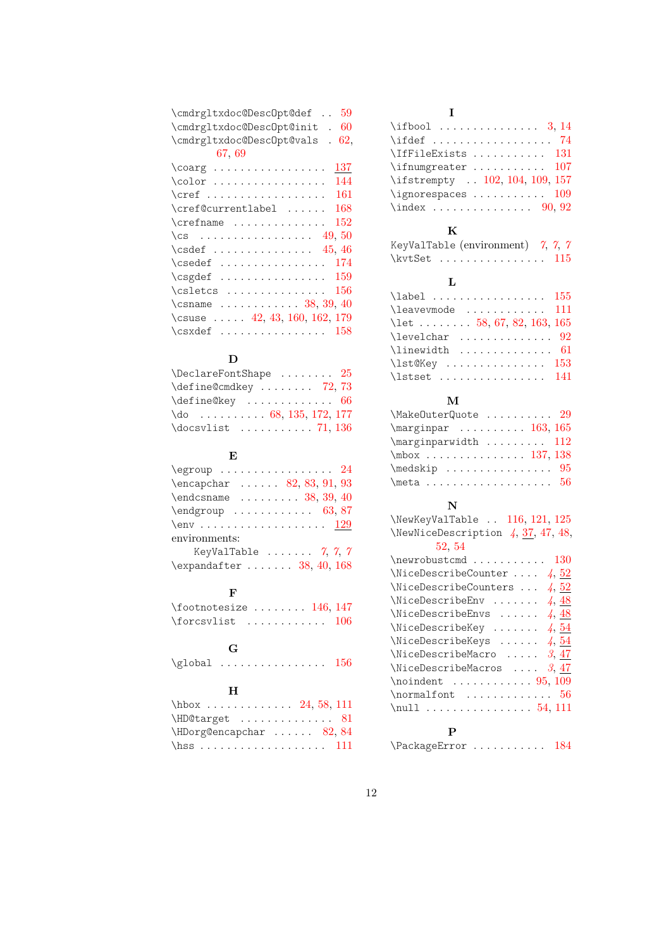| 59<br>\cmdrgltxdoc@DescOpt@def                                                                                                                                                                                                                                                                                                                                                                                              |
|-----------------------------------------------------------------------------------------------------------------------------------------------------------------------------------------------------------------------------------------------------------------------------------------------------------------------------------------------------------------------------------------------------------------------------|
| \cmdrgltxdoc@DescOpt@init .<br>60                                                                                                                                                                                                                                                                                                                                                                                           |
| \cmdrgltxdoc@DescOpt@vals<br>62,<br>L.                                                                                                                                                                                                                                                                                                                                                                                      |
| 67.69                                                                                                                                                                                                                                                                                                                                                                                                                       |
| 137<br>$\text{coarg}$                                                                                                                                                                                                                                                                                                                                                                                                       |
| 144                                                                                                                                                                                                                                                                                                                                                                                                                         |
| 161<br>$\cref$                                                                                                                                                                                                                                                                                                                                                                                                              |
| \cref@currentlabel<br>168                                                                                                                                                                                                                                                                                                                                                                                                   |
| $\crefname$<br>152                                                                                                                                                                                                                                                                                                                                                                                                          |
| \cs  49,50                                                                                                                                                                                                                                                                                                                                                                                                                  |
| $\csc 45, 46$                                                                                                                                                                                                                                                                                                                                                                                                               |
| 174<br>$\csc \atop \csc \atop \cdots \cdots$                                                                                                                                                                                                                                                                                                                                                                                |
| $\csc \atop \csc \atop \csc \atop \csc \atop \csc \atop \csc \atop \csc \atop \csc \atop \csc \atop \csc \atop \csc \atop \csc \atop \csc \atop \csc \atop \csc \atop \csc \atop \csc \atop \csc \atop \csc \atop \csc \atop \csc \atop \csc \atop \csc \atop \csc \atop \csc \atop \csc \atop \csc \atop \csc \atop \csc \atop \csc \atop \csc \atop \csc \atop \csc \atop \csc \atop \csc \atop \csc \atop \csc \$<br>159 |
| 156<br>$\cslant$ $\cslant$ $\ldots$ $\ldots$                                                                                                                                                                                                                                                                                                                                                                                |
| $\dots \dots \dots \dots \dots 38, 39, 40$<br>\csname                                                                                                                                                                                                                                                                                                                                                                       |
| \csuse $\ldots$ 42, 43, 160, 162, 179                                                                                                                                                                                                                                                                                                                                                                                       |
| 158<br>$\csc{set} \dots \dots \dots \dots$                                                                                                                                                                                                                                                                                                                                                                                  |

### **D**

| $\Delta$ PeclareFontShape  25      |
|------------------------------------|
| $\define@cmdkey   72, 73$          |
|                                    |
| $\downarrow$ do  68, 135, 172, 177 |
|                                    |

### **E**

| $\qquad$                                                                   |  |
|----------------------------------------------------------------------------|--|
| $\begin{array}{ccc} \text{encapchar } \ldots & 82, 83, 91, 93 \end{array}$ |  |
| $\end{math}$ 38, 39, 40                                                    |  |
| $\end{group} \dots \dots \dots \qquad 63, 87$                              |  |
| $\text{env} \dots \dots \dots \dots \dots \quad \frac{129}{129}$           |  |
| environments:                                                              |  |
| KeyValTable $\ldots \ldots$ 7, 7, 7                                        |  |
| $\exp\{ter \ldots 38, 40, 168\}$                                           |  |

#### **F**

| $\otimes$ is interesting the set of $146, 147$ |  |  |  |  |  |  |  |
|------------------------------------------------|--|--|--|--|--|--|--|
|                                                |  |  |  |  |  |  |  |

## **G**

| $\qquad$ |  |  |  |  |  |
|----------|--|--|--|--|--|
|----------|--|--|--|--|--|

### **H**

| $\hbox{\tt hbox} \ldots \ldots \ldots \ 24, 58, 111$ |  |
|------------------------------------------------------|--|
| \HD@target  81                                       |  |
| $\hbox{HDorg@encapchar } \ldots 82, 84$              |  |
|                                                      |  |

### **I**

| $\iota$ ifbool  3, 14           |  |  |  |  |  |  |  |
|---------------------------------|--|--|--|--|--|--|--|
|                                 |  |  |  |  |  |  |  |
| \IfFileExists  131              |  |  |  |  |  |  |  |
| $\binom{107}{107}$              |  |  |  |  |  |  |  |
| \ifstrempty  102, 104, 109, 157 |  |  |  |  |  |  |  |
| $\iint$ gnorespaces  109        |  |  |  |  |  |  |  |
| $\langle 90, 92 \rangle$        |  |  |  |  |  |  |  |

# $\mathbf{K}$ <sub> $\epsilon$ </sub>

| KeyValTable (environment) $\gamma$ , $\gamma$ , $\gamma$ |  |
|----------------------------------------------------------|--|
| $\kvtSet$ 115                                            |  |

### **L**

| $\lambda$ abel  155                         |  |
|---------------------------------------------|--|
| \leavevmode  111                            |  |
| \let  58, 67, 82, 163, 165                  |  |
| $\text{levelchar}$ 92                       |  |
| $\{\text{linewidth} \dots \dots \dots \ 61$ |  |
| $\text{Nst@Key}$ 153                        |  |
| \lstset  141                                |  |

#### **M**

| \MakeOuterQuote  29                                    |  |
|--------------------------------------------------------|--|
| $\text{marginpar} \ldots \ldots \ldots \quad 163, 165$ |  |
| $\text{marginparwidth} \dots \dots \dots \quad 112$    |  |
| $\mbox{mbox} \dots \dots \dots \dots \dots \ 137, 138$ |  |
| $\backslash$ medskip  95                               |  |
|                                                        |  |

### **N**

| \NewKeyValTable  116, 121, 125                            |
|-----------------------------------------------------------|
| \NewNiceDescription 4, 37, 47, 48,                        |
| 52, 54                                                    |
| $\neq$ 20                                                 |
| \NiceDescribeCounter $4, 52$                              |
| \NiceDescribeCounters $\ldots$ 4, 52                      |
| \NiceDescribeEnv $4, 48$                                  |
| \NiceDescribeEnvs $4, 48$                                 |
| \NiceDescribeKey $4, 54$                                  |
| \NiceDescribeKeys $4, 54$                                 |
| $\text{NiceDescribeMaccro} \dots 3,47$                    |
| $\text{NiceDescribeMacros}$ 3, 47                         |
|                                                           |
| $\normalfont$ $\normalfont$ $\ldots \ldots \ldots \ldots$ |
| \null $54, 111$                                           |
| P                                                         |

\PackageError . . . . . . . . . . . [184](#page-10-3)